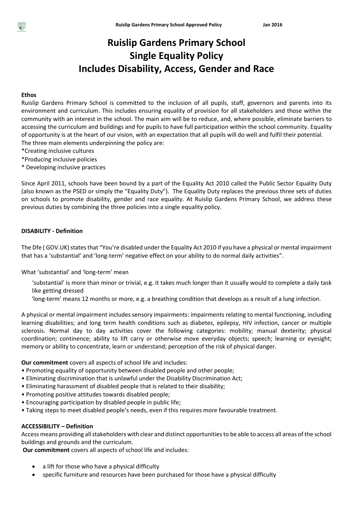## **Ruislip Gardens Primary School Single Equality Policy Includes Disability, Access, Gender and Race**

#### **Ethos**

Ruislip Gardens Primary School is committed to the inclusion of all pupils, staff, governors and parents into its environment and curriculum. This includes ensuring equality of provision for all stakeholders and those within the community with an interest in the school. The main aim will be to reduce, and, where possible, eliminate barriers to accessing the curriculum and buildings and for pupils to have full participation within the school community. Equality of opportunity is at the heart of our vision, with an expectation that all pupils will do well and fulfil their potential. The three main elements underpinning the policy are:

- \*Creating inclusive cultures
- \*Producing inclusive policies
- \* Developing inclusive practices

Since April 2011, schools have been bound by a part of the Equality Act 2010 called the Public Sector Equality Duty (also known as the PSED or simply the "Equality Duty"). The Equality Duty replaces the previous three sets of duties on schools to promote disability, gender and race equality. At Ruislip Gardens Primary School, we address these previous duties by combining the three policies into a single equality policy.

#### **DISABILITY - Definition**

The Dfe ( GOV.UK) states that "You're disabled under the Equality Act 2010 if you have a physical or mental impairment that has a 'substantial' and 'long-term' negative effect on your ability to do normal daily activities".

What 'substantial' and 'long-term' mean

- 'substantial' is more than minor or trivial, e.g. it takes much longer than it usually would to complete a daily task like getting dressed
- 'long-term' means 12 months or more, e.g. a breathing condition that develops as a result of a lung infection.

A physical or mental impairment includes sensory impairments: impairments relating to mental functioning, including learning disabilities; and long term health conditions such as diabetes, epilepsy, HIV infection, cancer or multiple sclerosis. Normal day to day activities cover the following categories: mobility; manual dexterity; physical coordination; continence; ability to lift carry or otherwise move everyday objects; speech; learning or eyesight; memory or ability to concentrate, learn or understand; perception of the risk of physical danger.

**Our commitment** covers all aspects of school life and includes:

- Promoting equality of opportunity between disabled people and other people;
- Eliminating discrimination that is unlawful under the Disability Discrimination Act;
- Eliminating harassment of disabled people that is related to their disability;
- Promoting positive attitudes towards disabled people;
- Encouraging participation by disabled people in public life;
- Taking steps to meet disabled people's needs, even if this requires more favourable treatment.

#### **ACCESSIBILITY – Definition**

Access means providing all stakeholders with clear and distinct opportunities to be able to access all areas of the school buildings and grounds and the curriculum.

**Our commitment** covers all aspects of school life and includes:

- a lift for those who have a physical difficulty
- specific furniture and resources have been purchased for those have a physical difficulty

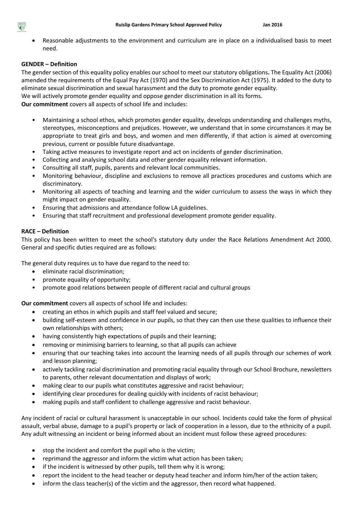Reasonable adjustments to the environment and curriculum are in place on a individualised basis to meet need.

#### **GENDER – Definition**

 $rac{R}{\frac{1}{2}}$ 

The gender section of this equality policy enables our school to meet our statutory obligations**.** The Equality Act (2006) amended the requirements of the Equal Pay Act (1970) and the Sex Discrimination Act (1975). It added to the duty to eliminate sexual discrimination and sexual harassment and the duty to promote gender equality.

We will actively promote gender equality and oppose gender discrimination in all its forms.

**Our commitment** covers all aspects of school life and includes:

- Maintaining a school ethos, which promotes gender equality, develops understanding and challenges myths, stereotypes, misconceptions and prejudices. However, we understand that in some circumstances it may be appropriate to treat girls and boys, and women and men differently, if that action is aimed at overcoming previous, current or possible future disadvantage.
- Taking active measures to investigate report and act on incidents of gender discrimination.
- Collecting and analysing school data and other gender equality relevant information.
- Consulting all staff, pupils, parents and relevant local communities.
- Monitoring behaviour, discipline and exclusions to remove all practices procedures and customs which are discriminatory.
- Monitoring all aspects of teaching and learning and the wider curriculum to assess the ways in which they might impact on gender equality.
- Ensuring that admissions and attendance follow LA guidelines.
- Ensuring that staff recruitment and professional development promote gender equality.

#### **RACE – Definition**

This policy has been written to meet the school's statutory duty under the Race Relations Amendment Act 2000. General and specific duties required are as follows:

The general duty requires us to have due regard to the need to:

- eliminate racial discrimination;
- promote equality of opportunity;
- promote good relations between people of different racial and cultural groups

**Our commitment** covers all aspects of school life and includes:

- creating an ethos in which pupils and staff feel valued and secure;
- building self-esteem and confidence in our pupils, so that they can then use these qualities to influence their own relationships with others;
- having consistently high expectations of pupils and their learning;
- removing or minimising barriers to learning, so that all pupils can achieve
- ensuring that our teaching takes into account the learning needs of all pupils through our schemes of work and lesson planning;
- actively tackling racial discrimination and promoting racial equality through our School Brochure, newsletters to parents, other relevant documentation and displays of work;
- making clear to our pupils what constitutes aggressive and racist behaviour;
- identifying clear procedures for dealing quickly with incidents of racist behaviour;
- making pupils and staff confident to challenge aggressive and racist behaviour.

Any incident of racial or cultural harassment is unacceptable in our school. Incidents could take the form of physical assault, verbal abuse, damage to a pupil's property or lack of cooperation in a lesson, due to the ethnicity of a pupil. Any adult witnessing an incident or being informed about an incident must follow these agreed procedures:

- stop the incident and comfort the pupil who is the victim;
- reprimand the aggressor and inform the victim what action has been taken;
- if the incident is witnessed by other pupils, tell them why it is wrong;
- report the incident to the head teacher or deputy head teacher and inform him/her of the action taken;
- inform the class teacher(s) of the victim and the aggressor, then record what happened.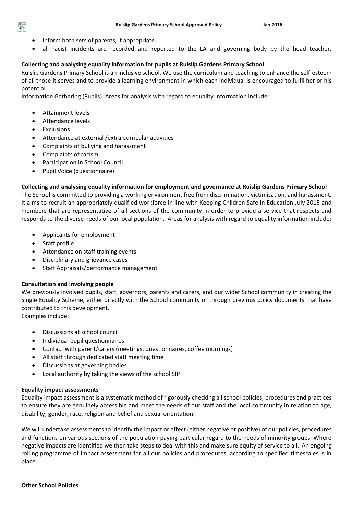- inform both sets of parents, if appropriate.
- all racist incidents are recorded and reported to the LA and governing body by the head teacher.

#### **Collecting and analysing equality information for pupils at Ruislip Gardens Primary School**

Ruislip Gardens Primary School is an inclusive school. We use the curriculum and teaching to enhance the self-esteem of all those it serves and to provide a learning environment in which each individual is encouraged to fulfil her or his potential.

Information Gathering (Pupils). Areas for analysis with regard to equality information include:

- Attainment levels
- Attendance levels
- Exclusions

 $rac{R}{\frac{1}{2}}$ 

- Attendance at external /extra-curricular activities
- Complaints of bullying and harassment
- Complaints of racism
- Participation in School Council
- Pupil Voice (questionnaire)

**Collecting and analysing equality information for employment and governance at Ruislip Gardens Primary School** 

The School is committed to providing a working environment free from discrimination, victimisation, and harassment. It aims to recruit an appropriately qualified workforce in line with Keeping Children Safe in Education July 2015 and members that are representative of all sections of the community in order to provide a service that respects and responds to the diverse needs of our local population. Areas for analysis with regard to equality information include:

- Applicants for employment
- Staff profile
- Attendance on staff training events
- Disciplinary and grievance cases
- Staff Appraisals/performance management

#### **Consultation and involving people**

We previously involved pupils, staff, governors, parents and carers, and our wider School community in creating the Single Equality Scheme, either directly with the School community or through previous policy documents that have contributed to this development.

Examples include:

- Discussions at school council
- Individual pupil questionnaires
- Contact with parent/carers (meetings, questionnaires, coffee mornings)
- All staff through dedicated staff meeting time
- Discussions at governing bodies
- Local authority by taking the views of the school SIP

#### **Equality impact assessments**

Equality impact assessment is a systematic method of rigorously checking all school policies, procedures and practices to ensure they are genuinely accessible and meet the needs of our staff and the local community in relation to age, disability, gender, race, religion and belief and sexual orientation.

We will undertake assessments to identify the impact or effect (either negative or positive) of our policies, procedures and functions on various sections of the population paying particular regard to the needs of minority groups. Where negative impacts are identified we then take steps to deal with this and make sure equity of service to all. An ongoing rolling programme of impact assessment for all our policies and procedures, according to specified timescales is in place.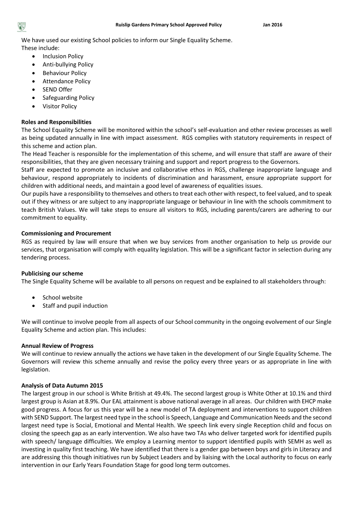We have used our existing School policies to inform our Single Equality Scheme. These include:

- Inclusion Policy
- Anti-bullying Policy
- Behaviour Policy
- Attendance Policy
- SEND Offer
- Safeguarding Policy
- Visitor Policy

#### **Roles and Responsibilities**

The School Equality Scheme will be monitored within the school's self-evaluation and other review processes as well as being updated annually in line with impact assessment. RGS complies with statutory requirements in respect of this scheme and action plan.

The Head Teacher is responsible for the implementation of this scheme, and will ensure that staff are aware of their responsibilities, that they are given necessary training and support and report progress to the Governors.

Staff are expected to promote an inclusive and collaborative ethos in RGS, challenge inappropriate language and behaviour, respond appropriately to incidents of discrimination and harassment, ensure appropriate support for children with additional needs, and maintain a good level of awareness of equalities issues.

Our pupils have a responsibility to themselves and others to treat each other with respect, to feel valued, and to speak out if they witness or are subject to any inappropriate language or behaviour in line with the schools commitment to teach British Values. We will take steps to ensure all visitors to RGS, including parents/carers are adhering to our commitment to equality.

#### **Commissioning and Procurement**

RGS as required by law will ensure that when we buy services from another organisation to help us provide our services, that organisation will comply with equality legislation. This will be a significant factor in selection during any tendering process.

#### **Publicising our scheme**

The Single Equality Scheme will be available to all persons on request and be explained to all stakeholders through:

- School website
- Staff and pupil induction

We will continue to involve people from all aspects of our School community in the ongoing evolvement of our Single Equality Scheme and action plan. This includes:

#### **Annual Review of Progress**

We will continue to review annually the actions we have taken in the development of our Single Equality Scheme. The Governors will review this scheme annually and revise the policy every three years or as appropriate in line with legislation.

#### **Analysis of Data Autumn 2015**

The largest group in our school is White British at 49.4%. The second largest group is White Other at 10.1% and third largest group is Asian at 8.9%. Our EAL attainment is above national average in all areas. Our children with EHCP make good progress. A focus for us this year will be a new model of TA deployment and interventions to support children with SEND Support. The largest need type in the school is Speech, Language and Communication Needs and the second largest need type is Social, Emotional and Mental Health. We speech link every single Reception child and focus on closing the speech gap as an early intervention. We also have two TAs who deliver targeted work for identified pupils with speech/ language difficulties. We employ a Learning mentor to support identified pupils with SEMH as well as investing in quality first teaching. We have identified that there is a gender gap between boys and girls in Literacy and are addressing this though initiatives run by Subject Leaders and by liaising with the Local authority to focus on early intervention in our Early Years Foundation Stage for good long term outcomes.

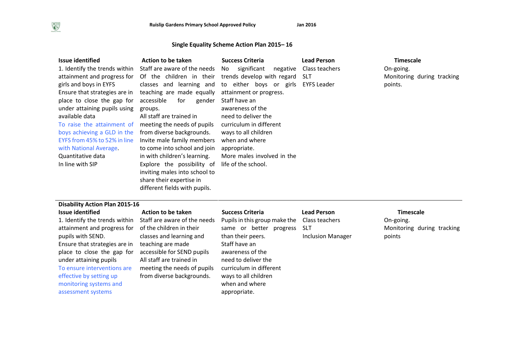#### **Single Equality Scheme Action Plan 2015– 16**

| <b>Issue identified</b>       | Action to be taken                                                                  | <b>Success Criteria</b>                          | <b>Lead Person</b> | <b>Timescale</b>           |
|-------------------------------|-------------------------------------------------------------------------------------|--------------------------------------------------|--------------------|----------------------------|
| 1. Identify the trends within | Staff are aware of the needs No significant                                         | negative                                         | Class teachers     | On-going.                  |
|                               | attainment and progress for Of the children in their trends develop with regard SLT |                                                  |                    | Monitoring during tracking |
| girls and boys in EYFS        |                                                                                     | classes and learning and to either boys or girls | EYFS Leader        | points.                    |
| Ensure that strategies are in | teaching are made equally                                                           | attainment or progress.                          |                    |                            |
| place to close the gap for    | for<br>accessible<br>gender                                                         | Staff have an                                    |                    |                            |
| under attaining pupils using  | groups.                                                                             | awareness of the                                 |                    |                            |
| available data                | All staff are trained in                                                            | need to deliver the                              |                    |                            |
| To raise the attainment of    | meeting the needs of pupils                                                         | curriculum in different                          |                    |                            |
| boys achieving a GLD in the   | from diverse backgrounds.                                                           | ways to all children                             |                    |                            |
| EYFS from 45% to 52% in line  | Invite male family members                                                          | when and where                                   |                    |                            |
| with National Average.        | to come into school and join                                                        | appropriate.                                     |                    |                            |
| Quantitative data             | in with children's learning.                                                        | More males involved in the                       |                    |                            |
| In line with SIP              | Explore the possibility of                                                          | life of the school.                              |                    |                            |
|                               | inviting males into school to                                                       |                                                  |                    |                            |
|                               | share their expertise in                                                            |                                                  |                    |                            |
|                               | different fields with pupils.                                                       |                                                  |                    |                            |

# **Disability Action Plan 2015-16**

1. Identify the trends within attainment and progress for pupils with SEND. Ensure that strategies are in place to close the gap for under attaining pupils To ensure interventions are effective by setting up monitoring systems and assessment systems

| <b>Issue identified</b>       | <b>Action to be taken</b>                                  | <b>Success Criteria</b>                      | <b>Lead Person</b>       | <b>Timescale</b> |
|-------------------------------|------------------------------------------------------------|----------------------------------------------|--------------------------|------------------|
|                               | 1. Identify the trends within Staff are aware of the needs | Pupils in this group make the Class teachers |                          | On-going.        |
| attainment and progress for   | of the children in their                                   | same or better<br>progress                   | <b>SLT</b>               | Monitoring dur   |
| pupils with SEND.             | classes and learning and                                   | than their peers.                            | <b>Inclusion Manager</b> | points           |
| Ensure that strategies are in | teaching are made                                          | Staff have an                                |                          |                  |
| place to close the gap for    | accessible for SEND pupils                                 | awareness of the                             |                          |                  |
| under attaining pupils        | All staff are trained in                                   | need to deliver the                          |                          |                  |
| To ensure interventions are   | meeting the needs of pupils                                | curriculum in different                      |                          |                  |
| effective by setting up       | from diverse backgrounds.                                  | ways to all children                         |                          |                  |
| monitoring systems and        |                                                            | when and where                               |                          |                  |

### Pupils in this group make the Class teachers same or better progress SLT than their peers. Staff have an awareness of the need to deliver the curriculum in different ways to all children when and where appropriate.

On-going. Monitoring during tracking points